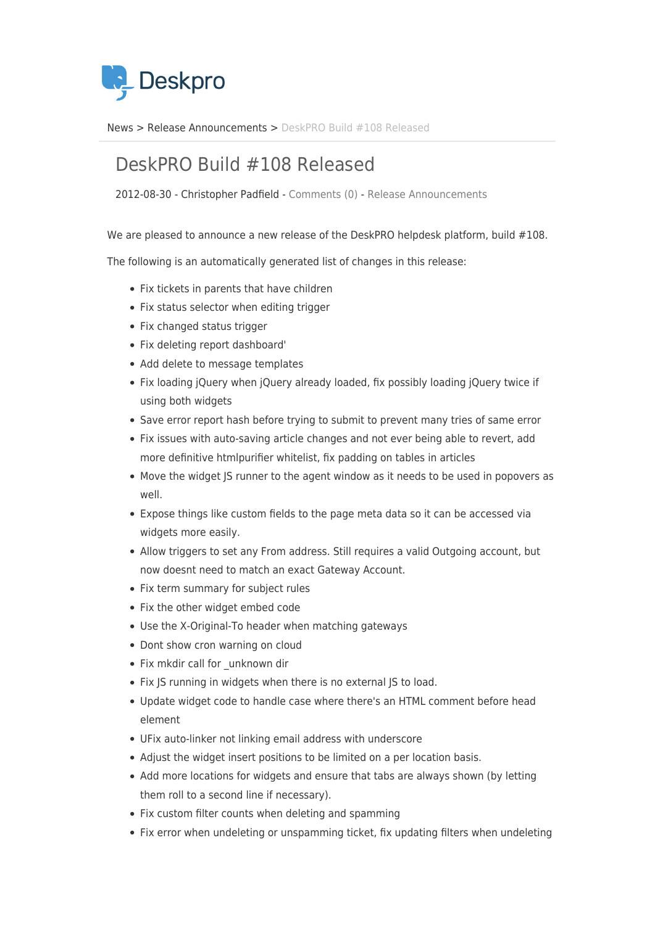

[News](https://support.deskpro.com/sv/news) > [Release Announcements](https://support.deskpro.com/sv/news/release-announcements) > [DeskPRO Build #108 Released](https://support.deskpro.com/sv/news/posts/deskpro-build-108-released)

## DeskPRO Build #108 Released

2012-08-30 - Christopher Padfield - [Comments \(0\)](#page--1-0) - [Release Announcements](https://support.deskpro.com/sv/news/release-announcements)

We are pleased to announce a new release of the DeskPRO helpdesk platform, build #108.

The following is an automatically generated list of changes in this release:

- Fix tickets in parents that have children
- Fix status selector when editing trigger
- Fix changed status trigger
- Fix deleting report dashboard'
- Add delete to message templates
- Fix loading jQuery when jQuery already loaded, fix possibly loading jQuery twice if using both widgets
- Save error report hash before trying to submit to prevent many tries of same error
- Fix issues with auto-saving article changes and not ever being able to revert, add more definitive htmlpurifier whitelist, fix padding on tables in articles
- Move the widget JS runner to the agent window as it needs to be used in popovers as well.
- Expose things like custom fields to the page meta data so it can be accessed via widgets more easily.
- Allow triggers to set any From address. Still requires a valid Outgoing account, but now doesnt need to match an exact Gateway Account.
- Fix term summary for subject rules
- Fix the other widget embed code
- Use the X-Original-To header when matching gateways
- Dont show cron warning on cloud
- Fix mkdir call for unknown dir
- Fix JS running in widgets when there is no external JS to load.
- Update widget code to handle case where there's an HTML comment before head element
- UFix auto-linker not linking email address with underscore
- Adjust the widget insert positions to be limited on a per location basis.
- Add more locations for widgets and ensure that tabs are always shown (by letting them roll to a second line if necessary).
- Fix custom filter counts when deleting and spamming
- Fix error when undeleting or unspamming ticket, fix updating filters when undeleting